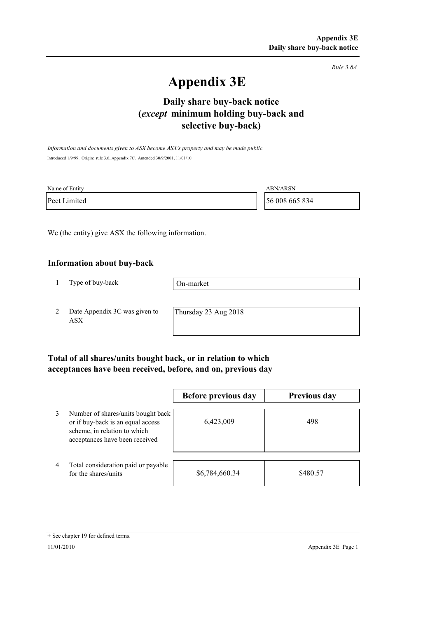*Rule 3.8A*

# **Appendix 3E**

# **selective buy-back) Daily share buy-back notice (***except* **minimum holding buy-back and**

*Information and documents given to ASX become ASX's property and may be made public.* Introduced 1/9/99. Origin: rule 3.6, Appendix 7C. Amended 30/9/2001, 11/01/10

| Name of Entity | <b>ABN/ARSN</b> |
|----------------|-----------------|
| Peet Limited   | 56 008 665 834  |

We (the entity) give ASX the following information.

#### **Information about buy-back**

1 Type of buy-back

On-market

2 Date Appendix 3C was given to ASX

Thursday 23 Aug 2018

### **Total of all shares/units bought back, or in relation to which acceptances have been received, before, and on, previous day**

|   |                                                                                                                                           | Before previous day | <b>Previous day</b> |
|---|-------------------------------------------------------------------------------------------------------------------------------------------|---------------------|---------------------|
| 3 | Number of shares/units bought back<br>or if buy-back is an equal access<br>scheme, in relation to which<br>acceptances have been received | 6,423,009           | 498                 |
| 4 | Total consideration paid or payable<br>for the shares/units                                                                               | \$6,784,660.34      | \$480.57            |

<sup>+</sup> See chapter 19 for defined terms.